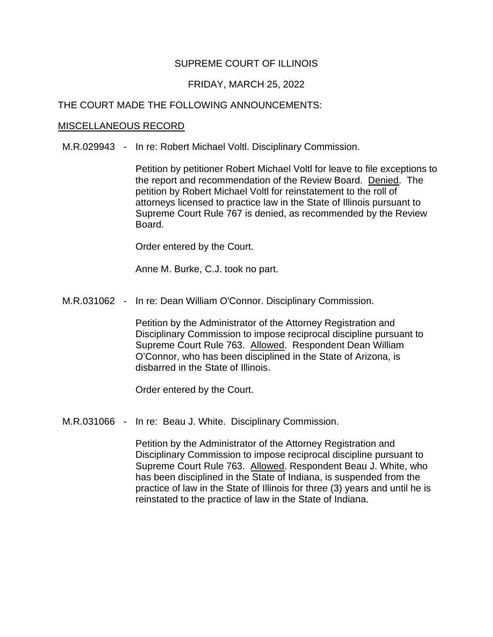# SUPREME COURT OF ILLINOIS

## FRIDAY, MARCH 25, 2022

## THE COURT MADE THE FOLLOWING ANNOUNCEMENTS:

#### MISCELLANEOUS RECORD

M.R.029943 - In re: Robert Michael Voltl. Disciplinary Commission.

the report and recommendation of the Review Board. Denied. The Supreme Court Rule 767 is denied, as recommended by the Review Petition by petitioner Robert Michael Voltl for leave to file exceptions to petition by Robert Michael Voltl for reinstatement to the roll of attorneys licensed to practice law in the State of Illinois pursuant to Board.

Order entered by the Court.

Anne M. Burke, C.J. took no part.

M.R.031062 - In re: Dean William O'Connor. Disciplinary Commission.

Supreme Court Rule 763. Allowed. Respondent Dean William Petition by the Administrator of the Attorney Registration and Disciplinary Commission to impose reciprocal discipline pursuant to O'Connor, who has been disciplined in the State of Arizona, is disbarred in the State of Illinois.

Order entered by the Court.

M.R.031066 - In re: Beau J. White. Disciplinary Commission.

Supreme Court Rule 763. Allowed. Respondent Beau J. White, who Petition by the Administrator of the Attorney Registration and Disciplinary Commission to impose reciprocal discipline pursuant to has been disciplined in the State of Indiana, is suspended from the practice of law in the State of Illinois for three (3) years and until he is reinstated to the practice of law in the State of Indiana.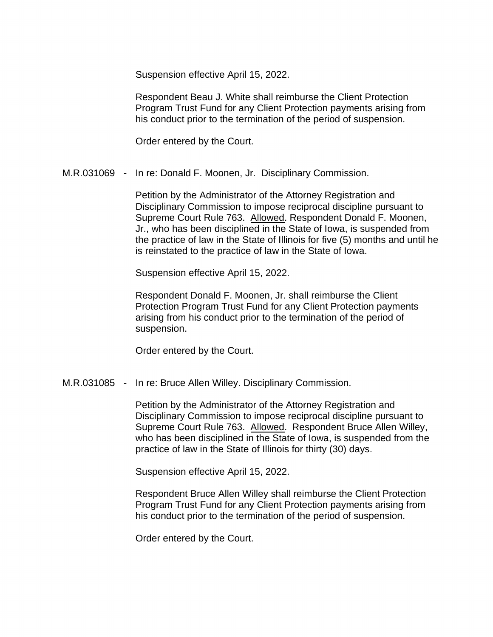Suspension effective April 15, 2022.

Respondent Beau J. White shall reimburse the Client Protection Program Trust Fund for any Client Protection payments arising from his conduct prior to the termination of the period of suspension.

Order entered by the Court.

M.R.031069 - In re: Donald F. Moonen, Jr. Disciplinary Commission.

Supreme Court Rule 763. Allowed. Respondent Donald F. Moonen, is reinstated to the practice of law in the State of Iowa.<br>Suspension effective April 15, 2022. Petition by the Administrator of the Attorney Registration and Disciplinary Commission to impose reciprocal discipline pursuant to Jr., who has been disciplined in the State of Iowa, is suspended from the practice of law in the State of Illinois for five (5) months and until he

Respondent Donald F. Moonen, Jr. shall reimburse the Client Protection Program Trust Fund for any Client Protection payments arising from his conduct prior to the termination of the period of suspension.

Order entered by the Court.

M.R.031085 - In re: Bruce Allen Willey. Disciplinary Commission.

Supreme Court Rule 763. Allowed. Respondent Bruce Allen Willey, Petition by the Administrator of the Attorney Registration and Disciplinary Commission to impose reciprocal discipline pursuant to who has been disciplined in the State of Iowa, is suspended from the practice of law in the State of Illinois for thirty (30) days.

Suspension effective April 15, 2022.

Respondent Bruce Allen Willey shall reimburse the Client Protection Program Trust Fund for any Client Protection payments arising from his conduct prior to the termination of the period of suspension.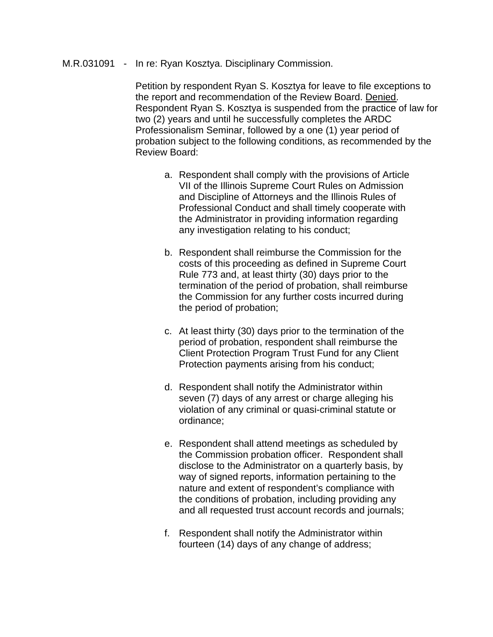### M.R.031091 - In re: Ryan Kosztya. Disciplinary Commission.

 Petition by respondent Ryan S. Kosztya for leave to file exceptions to Respondent Ryan S. Kosztya is suspended from the practice of law for the report and recommendation of the Review Board. Denied. two (2) years and until he successfully completes the ARDC Professionalism Seminar, followed by a one (1) year period of probation subject to the following conditions, as recommended by the Review Board:

- a. Respondent shall comply with the provisions of Article VII of the Illinois Supreme Court Rules on Admission and Discipline of Attorneys and the Illinois Rules of Professional Conduct and shall timely cooperate with the Administrator in providing information regarding any investigation relating to his conduct;
- Rule 773 and, at least thirty (30) days prior to the b. Respondent shall reimburse the Commission for the costs of this proceeding as defined in Supreme Court termination of the period of probation, shall reimburse the Commission for any further costs incurred during the period of probation;
- c. At least thirty (30) days prior to the termination of the Client Protection Program Trust Fund for any Client period of probation, respondent shall reimburse the Protection payments arising from his conduct;
- seven (7) days of any arrest or charge alleging his violation of any criminal or quasi-criminal statute or d. Respondent shall notify the Administrator within ordinance;
- e. Respondent shall attend meetings as scheduled by the Commission probation officer. Respondent shall disclose to the Administrator on a quarterly basis, by way of signed reports, information pertaining to the nature and extent of respondent's compliance with the conditions of probation, including providing any and all requested trust account records and journals;
- f. Respondent shall notify the Administrator within fourteen (14) days of any change of address;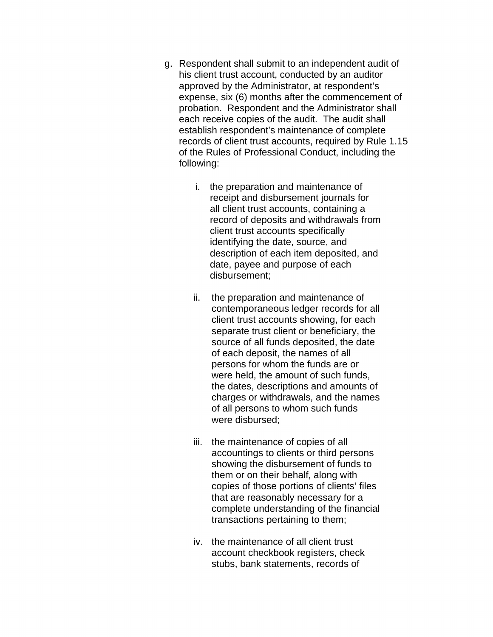- g. Respondent shall submit to an independent audit of each receive copies of the audit. The audit shall his client trust account, conducted by an auditor approved by the Administrator, at respondent's expense, six (6) months after the commencement of probation. Respondent and the Administrator shall establish respondent's maintenance of complete records of client trust accounts, required by Rule 1.15 of the Rules of Professional Conduct, including the following:
	- i. the preparation and maintenance of record of deposits and withdrawals from receipt and disbursement journals for all client trust accounts, containing a client trust accounts specifically identifying the date, source, and description of each item deposited, and date, payee and purpose of each disbursement;
	- separate trust client or beneficiary, the of each deposit, the names of all persons for whom the funds are or the dates, descriptions and amounts of ii. the preparation and maintenance of contemporaneous ledger records for all client trust accounts showing, for each source of all funds deposited, the date were held, the amount of such funds, charges or withdrawals, and the names of all persons to whom such funds were disbursed;
	- accountings to clients or third persons showing the disbursement of funds to iii. the maintenance of copies of all them or on their behalf, along with copies of those portions of clients' files that are reasonably necessary for a complete understanding of the financial transactions pertaining to them;
	- iv. the maintenance of all client trust stubs, bank statements, records of account checkbook registers, check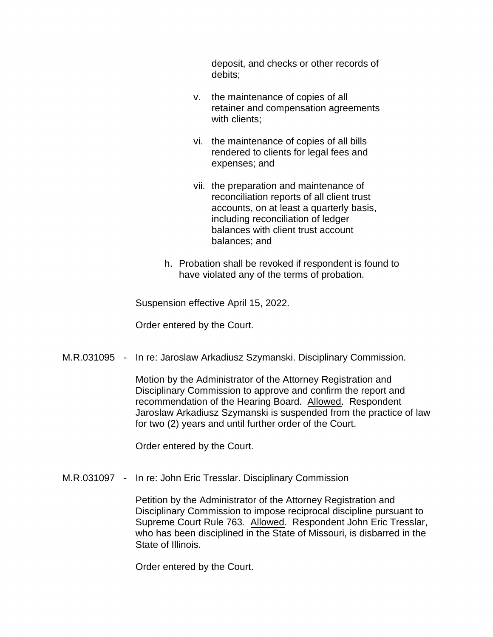deposit, and checks or other records of debits;

- v. the maintenance of copies of all retainer and compensation agreements with clients:
- rendered to clients for legal fees and vi. the maintenance of copies of all bills expenses; and
- reconciliation reports of all client trust vii. the preparation and maintenance of accounts, on at least a quarterly basis, including reconciliation of ledger balances with client trust account balances; and
- h. Probation shall be revoked if respondent is found to have violated any of the terms of probation.

Suspension effective April 15, 2022.

Order entered by the Court.

M.R.031095 - In re: Jaroslaw Arkadiusz Szymanski. Disciplinary Commission.

recommendation of the Hearing Board. Allowed. Respondent Motion by the Administrator of the Attorney Registration and Disciplinary Commission to approve and confirm the report and Jaroslaw Arkadiusz Szymanski is suspended from the practice of law for two (2) years and until further order of the Court.

Order entered by the Court.

M.R.031097 - In re: John Eric Tresslar. Disciplinary Commission

Supreme Court Rule 763. Allowed. Respondent John Eric Tresslar, Petition by the Administrator of the Attorney Registration and Disciplinary Commission to impose reciprocal discipline pursuant to who has been disciplined in the State of Missouri, is disbarred in the State of Illinois.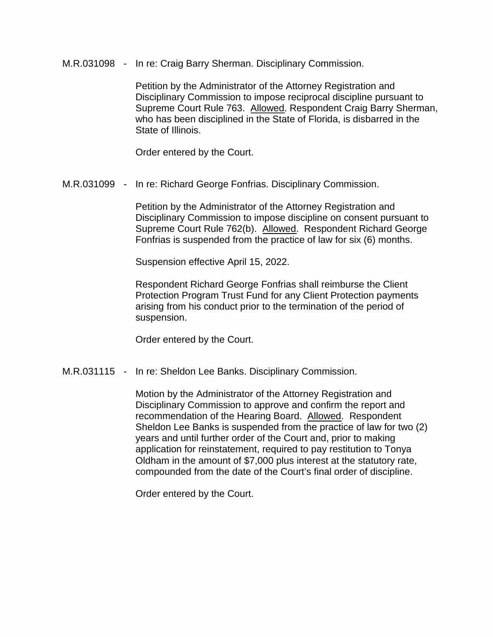M.R.031098 - In re: Craig Barry Sherman. Disciplinary Commission.

Supreme Court Rule 763. Allowed. Respondent Craig Barry Sherman, Petition by the Administrator of the Attorney Registration and Disciplinary Commission to impose reciprocal discipline pursuant to who has been disciplined in the State of Florida, is disbarred in the State of Illinois.

Order entered by the Court.

M.R.031099 - In re: Richard George Fonfrias. Disciplinary Commission.

Supreme Court Rule 762(b). Allowed. Respondent Richard George Petition by the Administrator of the Attorney Registration and Disciplinary Commission to impose discipline on consent pursuant to Fonfrias is suspended from the practice of law for six (6) months.

Suspension effective April 15, 2022.

Respondent Richard George Fonfrias shall reimburse the Client Protection Program Trust Fund for any Client Protection payments arising from his conduct prior to the termination of the period of suspension.

Order entered by the Court.

M.R.031115 - In re: Sheldon Lee Banks. Disciplinary Commission.

recommendation of the Hearing Board. Allowed. Respondent Motion by the Administrator of the Attorney Registration and Disciplinary Commission to approve and confirm the report and Sheldon Lee Banks is suspended from the practice of law for two (2) years and until further order of the Court and, prior to making application for reinstatement, required to pay restitution to Tonya Oldham in the amount of \$7,000 plus interest at the statutory rate, compounded from the date of the Court's final order of discipline.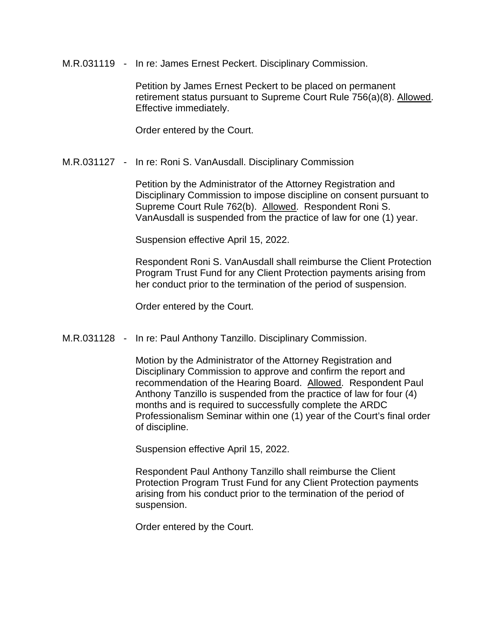M.R.031119 - In re: James Ernest Peckert. Disciplinary Commission.

Petition by James Ernest Peckert to be placed on permanent retirement status pursuant to Supreme Court Rule 756(a)(8). Allowed. Effective immediately.

Order entered by the Court.

### M.R.031127 - In re: Roni S. VanAusdall. Disciplinary Commission

Supreme Court Rule 762(b). Allowed. Respondent Roni S. Petition by the Administrator of the Attorney Registration and Disciplinary Commission to impose discipline on consent pursuant to VanAusdall is suspended from the practice of law for one (1) year.

Suspension effective April 15, 2022.

Respondent Roni S. VanAusdall shall reimburse the Client Protection Program Trust Fund for any Client Protection payments arising from her conduct prior to the termination of the period of suspension.

Order entered by the Court.

M.R.031128 - In re: Paul Anthony Tanzillo. Disciplinary Commission.

recommendation of the Hearing Board. Allowed. Respondent Paul Motion by the Administrator of the Attorney Registration and Disciplinary Commission to approve and confirm the report and Anthony Tanzillo is suspended from the practice of law for four (4) months and is required to successfully complete the ARDC Professionalism Seminar within one (1) year of the Court's final order of discipline.

Suspension effective April 15, 2022.

Respondent Paul Anthony Tanzillo shall reimburse the Client Protection Program Trust Fund for any Client Protection payments arising from his conduct prior to the termination of the period of suspension.